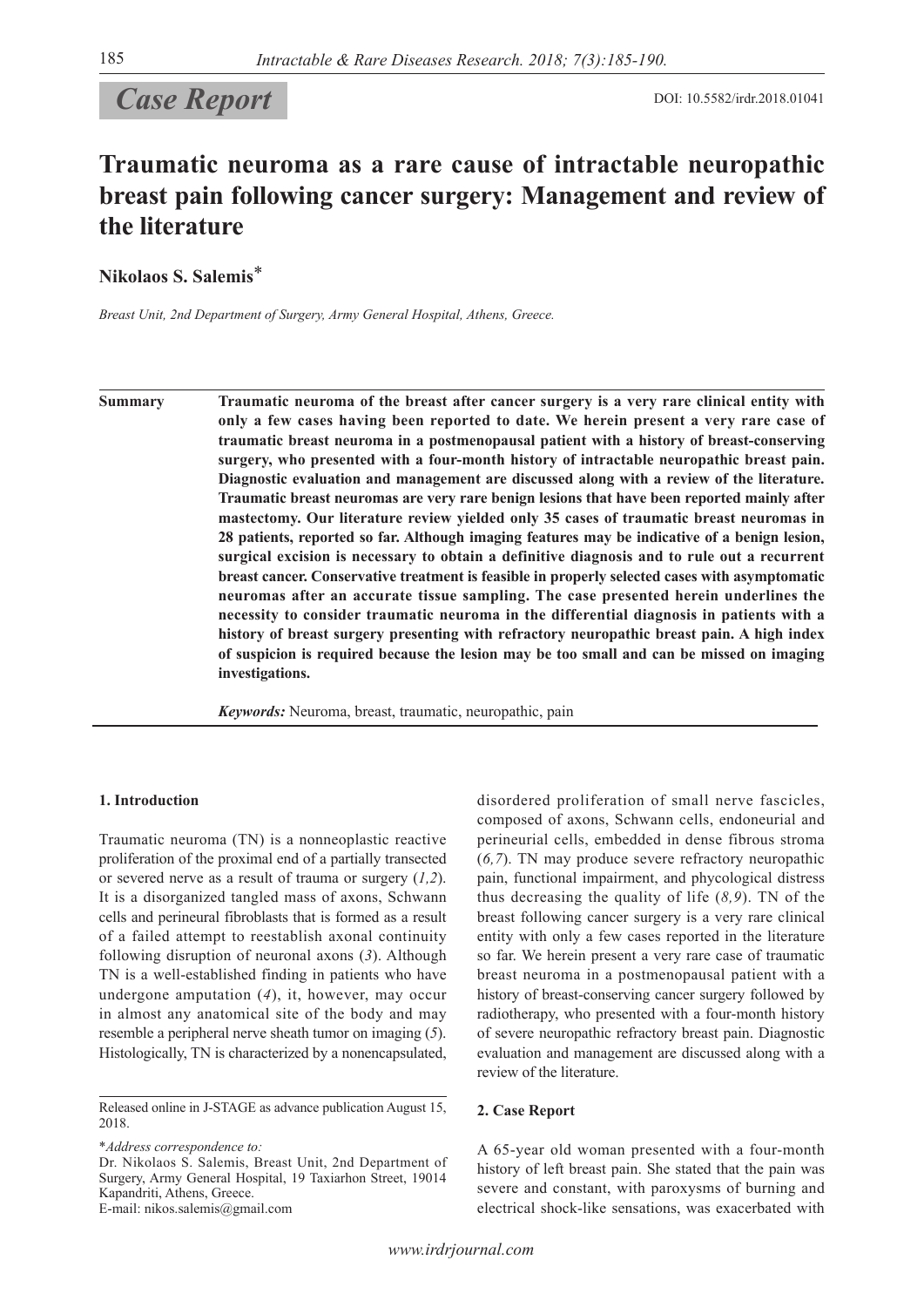# *Case Report* DOI: 10.5582/irdr.2018.01041

## **Traumatic neuroma as a rare cause of intractable neuropathic breast pain following cancer surgery: Management and review of the literature**

**Nikolaos S. Salemis**\*

*Breast Unit, 2nd Department of Surgery, Army General Hospital, Athens, Greece.*

**Summary Traumatic neuroma of the breast after cancer surgery is a very rare clinical entity with only a few cases having been reported to date. We herein present a very rare case of traumatic breast neuroma in a postmenopausal patient with a history of breast-conserving surgery, who presented with a four-month history of intractable neuropathic breast pain. Diagnostic evaluation and management are discussed along with a review of the literature. Traumatic breast neuromas are very rare benign lesions that have been reported mainly after mastectomy. Our literature review yielded only 35 cases of traumatic breast neuromas in 28 patients, reported so far. Although imaging features may be indicative of a benign lesion, surgical excision is necessary to obtain a definitive diagnosis and to rule out a recurrent breast cancer. Conservative treatment is feasible in properly selected cases with asymptomatic neuromas after an accurate tissue sampling. The case presented herein underlines the necessity to consider traumatic neuroma in the differential diagnosis in patients with a history of breast surgery presenting with refractory neuropathic breast pain. A high index of suspicion is required because the lesion may be too small and can be missed on imaging investigations.**

*Keywords:* Neuroma, breast, traumatic, neuropathic, pain

#### **1. Introduction**

Traumatic neuroma (TN) is a nonneoplastic reactive proliferation of the proximal end of a partially transected or severed nerve as a result of trauma or surgery (*1,2*). It is a disorganized tangled mass of axons, Schwann cells and perineural fibroblasts that is formed as a result of a failed attempt to reestablish axonal continuity following disruption of neuronal axons (*3*). Although TN is a well-established finding in patients who have undergone amputation (*4*), it, however, may occur in almost any anatomical site of the body and may resemble a peripheral nerve sheath tumor on imaging (*5*). Histologically, TN is characterized by a nonencapsulated,

\**Address correspondence to:*

Dr. Nikolaos S. Salemis, Breast Unit, 2nd Department of Surgery, Army General Hospital, 19 Taxiarhon Street, 19014 Kapandriti, Athens, Greece.

E-mail: nikos.salemis@gmail.com

disordered proliferation of small nerve fascicles, composed of axons, Schwann cells, endoneurial and perineurial cells, embedded in dense fibrous stroma (*6,7*). TN may produce severe refractory neuropathic pain, functional impairment, and phycological distress thus decreasing the quality of life  $(8, 9)$ . TN of the breast following cancer surgery is a very rare clinical entity with only a few cases reported in the literature so far. We herein present a very rare case of traumatic breast neuroma in a postmenopausal patient with a history of breast-conserving cancer surgery followed by radiotherapy, who presented with a four-month history of severe neuropathic refractory breast pain. Diagnostic evaluation and management are discussed along with a review of the literature.

#### **2. Case Report**

A 65-year old woman presented with a four-month history of left breast pain. She stated that the pain was severe and constant, with paroxysms of burning and electrical shock-like sensations, was exacerbated with

Released online in J-STAGE as advance publication August 15, 2018.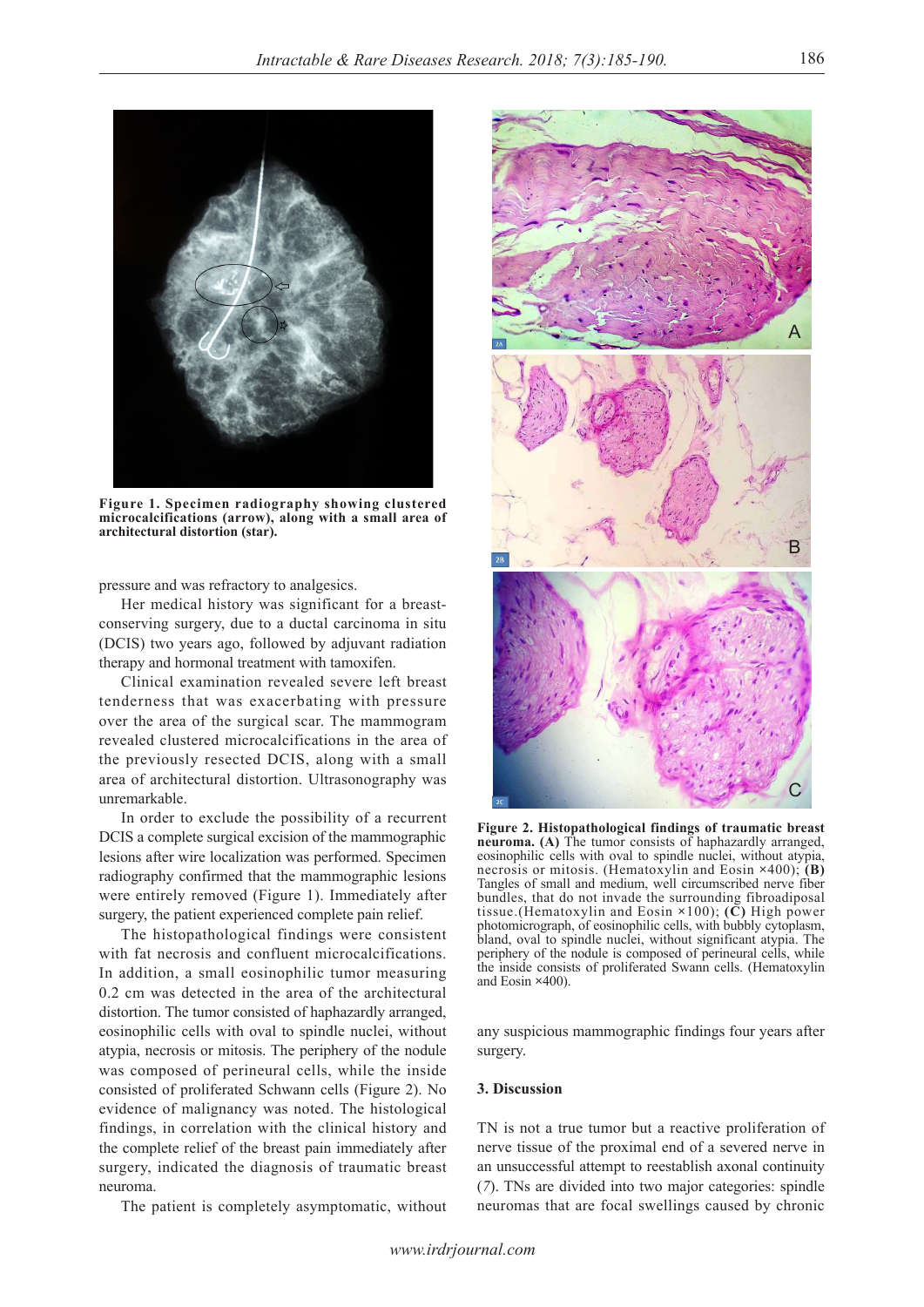

**Figure 1. Specimen radiography showing clustered microcalcifications (arrow), along with a small area of architectural distortion (star).** 

pressure and was refractory to analgesics.

Her medical history was significant for a breastconserving surgery, due to a ductal carcinoma in situ (DCIS) two years ago, followed by adjuvant radiation therapy and hormonal treatment with tamoxifen.

Clinical examination revealed severe left breast tenderness that was exacerbating with pressure over the area of the surgical scar. The mammogram revealed clustered microcalcifications in the area of the previously resected DCIS, along with a small area of architectural distortion. Ultrasonography was unremarkable.

In order to exclude the possibility of a recurrent DCIS a complete surgical excision of the mammographic lesions after wire localization was performed. Specimen radiography confirmed that the mammographic lesions were entirely removed (Figure 1). Immediately after surgery, the patient experienced complete pain relief.

The histopathological findings were consistent with fat necrosis and confluent microcalcifications. In addition, a small eosinophilic tumor measuring 0.2 cm was detected in the area of the architectural distortion. The tumor consisted of haphazardly arranged, eosinophilic cells with oval to spindle nuclei, without atypia, necrosis or mitosis. The periphery of the nodule was composed of perineural cells, while the inside consisted of proliferated Schwann cells (Figure 2). No evidence of malignancy was noted. The histological findings, in correlation with the clinical history and the complete relief of the breast pain immediately after surgery, indicated the diagnosis of traumatic breast neuroma.

The patient is completely asymptomatic, without



**Figure 2. Histopathological findings of traumatic breast neuroma. (A)** The tumor consists of haphazardly arranged, eosinophilic cells with oval to spindle nuclei, without atypia, necrosis or mitosis. (Hematoxylin and Eosin **×**400); **(B)** Tangles of small and medium, well circumscribed nerve fiber bundles, that do not invade the surrounding fibroadiposal tissue.(Hematoxylin and Eosin **×**100); **(C)** High power photomicrograph, of eosinophilic cells, with bubbly cytoplasm, bland, oval to spindle nuclei, without significant atypia. The periphery of the nodule is composed of perineural cells, while the inside consists of proliferated Swann cells. (Hematoxylin and Eosin **×**400).

any suspicious mammographic findings four years after surgery.

#### **3. Discussion**

TN is not a true tumor but a reactive proliferation of nerve tissue of the proximal end of a severed nerve in an unsuccessful attempt to reestablish axonal continuity (*7*). TNs are divided into two major categories: spindle neuromas that are focal swellings caused by chronic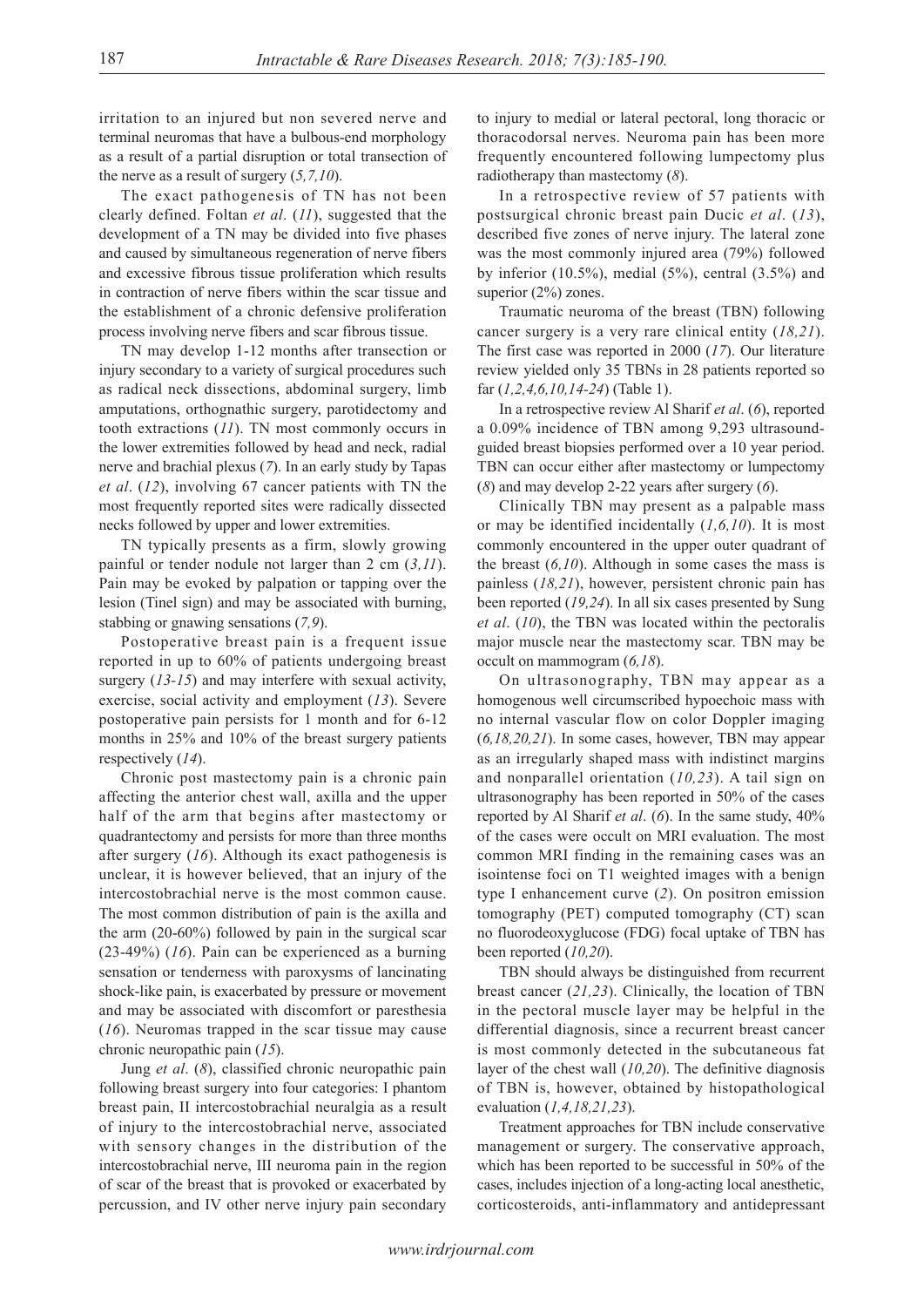irritation to an injured but non severed nerve and terminal neuromas that have a bulbous-end morphology as a result of a partial disruption or total transection of the nerve as a result of surgery (*5,7,10*).

The exact pathogenesis of TN has not been clearly defined. Foltan *et al*. (*11*), suggested that the development of a TN may be divided into five phases and caused by simultaneous regeneration of nerve fibers and excessive fibrous tissue proliferation which results in contraction of nerve fibers within the scar tissue and the establishment of a chronic defensive proliferation process involving nerve fibers and scar fibrous tissue.

TN may develop 1-12 months after transection or injury secondary to a variety of surgical procedures such as radical neck dissections, abdominal surgery, limb amputations, orthognathic surgery, parotidectomy and tooth extractions (*11*). TN most commonly occurs in the lower extremities followed by head and neck, radial nerve and brachial plexus (*7*). In an early study by Tapas *et al*. (*12*), involving 67 cancer patients with TN the most frequently reported sites were radically dissected necks followed by upper and lower extremities.

TN typically presents as a firm, slowly growing painful or tender nodule not larger than 2 cm (*3,11*). Pain may be evoked by palpation or tapping over the lesion (Tinel sign) and may be associated with burning, stabbing or gnawing sensations (*7,9*).

Postoperative breast pain is a frequent issue reported in up to 60% of patients undergoing breast surgery (*13-15*) and may interfere with sexual activity, exercise, social activity and employment (*13*). Severe postoperative pain persists for 1 month and for 6-12 months in 25% and 10% of the breast surgery patients respectively (*14*).

Chronic post mastectomy pain is a chronic pain affecting the anterior chest wall, axilla and the upper half of the arm that begins after mastectomy or quadrantectomy and persists for more than three months after surgery (*16*). Although its exact pathogenesis is unclear, it is however believed, that an injury of the intercostobrachial nerve is the most common cause. The most common distribution of pain is the axilla and the arm (20-60%) followed by pain in the surgical scar (23-49%) (*16*). Pain can be experienced as a burning sensation or tenderness with paroxysms of lancinating shock-like pain, is exacerbated by pressure or movement and may be associated with discomfort or paresthesia (*16*). Neuromas trapped in the scar tissue may cause chronic neuropathic pain (*15*).

Jung *et al*. (*8*), classified chronic neuropathic pain following breast surgery into four categories: I phantom breast pain, II intercostobrachial neuralgia as a result of injury to the intercostobrachial nerve, associated with sensory changes in the distribution of the intercostobrachial nerve, III neuroma pain in the region of scar of the breast that is provoked or exacerbated by percussion, and IV other nerve injury pain secondary

to injury to medial or lateral pectoral, long thoracic or thoracodorsal nerves. Neuroma pain has been more frequently encountered following lumpectomy plus radiotherapy than mastectomy (*8*).

In a retrospective review of 57 patients with postsurgical chronic breast pain Ducic *et al*. (*13*), described five zones of nerve injury. The lateral zone was the most commonly injured area (79%) followed by inferior  $(10.5\%)$ , medial  $(5\%)$ , central  $(3.5\%)$  and superior (2%) zones.

Traumatic neuroma of the breast (TBN) following cancer surgery is a very rare clinical entity (*18,21*). The first case was reported in 2000 (*17*). Our literature review yielded only 35 TBNs in 28 patients reported so far (*1,2,4,6,10,14-24*) (Table 1).

In a retrospective review Al Sharif *et al*. (*6*), reported a 0.09% incidence of TBN among 9,293 ultrasoundguided breast biopsies performed over a 10 year period. TBN can occur either after mastectomy or lumpectomy (*8*) and may develop 2-22 years after surgery (*6*).

Clinically TBN may present as a palpable mass or may be identified incidentally (*1,6,10*). It is most commonly encountered in the upper outer quadrant of the breast (*6,10*). Although in some cases the mass is painless (*18,21*), however, persistent chronic pain has been reported (*19,24*). In all six cases presented by Sung *et al*. (*10*), the TBN was located within the pectoralis major muscle near the mastectomy scar. TBN may be occult on mammogram (*6,18*).

On ultrasonography, TBN may appear as a homogenous well circumscribed hypoechoic mass with no internal vascular flow on color Doppler imaging (*6,18,20,21*). In some cases, however, TBN may appear as an irregularly shaped mass with indistinct margins and nonparallel orientation (*10,23*). A tail sign on ultrasonography has been reported in 50% of the cases reported by Al Sharif *et al*. (*6*). In the same study, 40% of the cases were occult on MRI evaluation. The most common MRI finding in the remaining cases was an isointense foci on T1 weighted images with a benign type I enhancement curve (*2*). On positron emission tomography (PET) computed tomography (CT) scan no fluorodeoxyglucose (FDG) focal uptake of TBN has been reported (*10,20*).

TBN should always be distinguished from recurrent breast cancer (*21,23*). Clinically, the location of TBN in the pectoral muscle layer may be helpful in the differential diagnosis, since a recurrent breast cancer is most commonly detected in the subcutaneous fat layer of the chest wall (*10,20*). The definitive diagnosis of TBN is, however, obtained by histopathological evaluation (*1,4,18,21,23*).

Treatment approaches for TBN include conservative management or surgery. The conservative approach, which has been reported to be successful in 50% of the cases, includes injection of a long-acting local anesthetic, corticosteroids, anti-inflammatory and antidepressant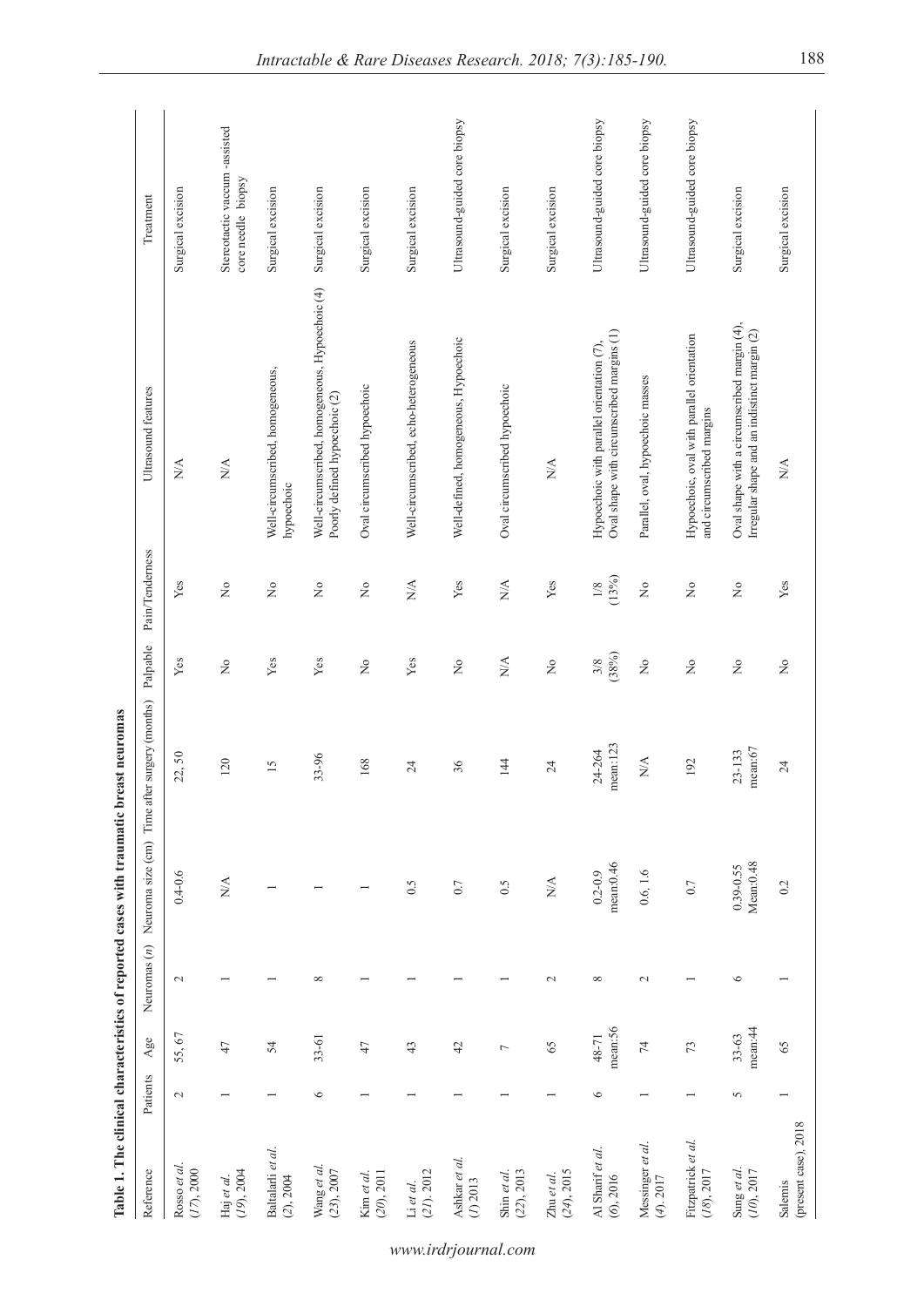|                                     |          |                      |                 | Table 1. The clinical characteristics of reported cases with traumatic breast neuromas |                                 |                                     |                                |                                                                                             |                                                    |
|-------------------------------------|----------|----------------------|-----------------|----------------------------------------------------------------------------------------|---------------------------------|-------------------------------------|--------------------------------|---------------------------------------------------------------------------------------------|----------------------------------------------------|
| Reference                           | Patients | $_{\rm Age}$         | Neuromas $(n)$  | Neuroma size (cm)                                                                      | Time after surgery (months)     | Palpable                            | Pain/Tenderness                | Ultrasound features                                                                         | Treatment                                          |
| Rosso et al.<br>(17), 2000          | $\sim$   | 55,67                | $\sim$          | $0.4 - 0.6$                                                                            | 22,50                           | Yes                                 | Yes                            | N/A                                                                                         | Surgical excision                                  |
| (19, 2004<br>Haj et al.             |          | 47                   |                 | $\sum_{i=1}^{n}$                                                                       | 120                             | Σò                                  | $\tilde{z}$                    | $N\!A$                                                                                      | Stereotactic vaccum-assisted<br>core needle biopsy |
| Baltalarli et al.<br>(2), 2004      |          | 54                   |                 |                                                                                        | 15                              | Yes                                 | $\stackrel{\circ}{\mathsf{Z}}$ | Well-circumscribed, homogeneous,<br>hypoechoic                                              | Surgical excision                                  |
| Wang et al.<br>(23), 2007           | $\circ$  | $33 - 61$            | $\infty$        |                                                                                        | 33-96                           | Yes                                 | $\tilde{z}$                    | Well-circumscribed, homogeneous, Hypoechoic (4)<br>Poorly defined hypoechoic (2)            | Surgical excision                                  |
| (20, 2011)<br>Kim et al.            |          | 47                   |                 |                                                                                        | 168                             | $\rm \stackrel{\circ}{\mathbf{Z}}$  | $\tilde{z}$                    | Oval circumscribed hypoechoic                                                               | Surgical excision                                  |
| $(21)$ , $2012$<br>Li et al.        |          | 43                   |                 | 0.5                                                                                    | $\overline{24}$                 | Yes                                 | $N\!$                          | Well-circumscribed, echo-heterogeneous                                                      | Surgical excision                                  |
| Ashkar et al.<br>(1) 2013           |          | 42                   |                 | $0.7\,$                                                                                | 36                              | $\stackrel{\mathtt{o}}{\mathsf{z}}$ | Yes                            | Well-defined, homogeneous, Hypoechoic                                                       | Ultrasound-guided core biopsy                      |
| $(22)$ , 2013<br>Shin et al.        |          | $\overline{ }$       |                 | 0.5                                                                                    | 144                             | $\sum_{i=1}^{n}$                    | $N\!A$                         | Oval circumscribed hypoechoic                                                               | Surgical excision                                  |
| $(24)$ , 2015<br>Zhu et al.         |          | 65                   | $\mathbf{\sim}$ | $\stackrel{\triangle}{\approx}$                                                        | $\overline{24}$                 | $\tilde{z}$                         | Yes                            | $\stackrel{\triangle}{\approx}$                                                             | Surgical excision                                  |
| Al Sharif et al.<br>(6, 2016)       | $\circ$  | mean:56<br>48-71     | ${}^{\circ}$    | mean:0.46<br>$0.2 - 0.9$                                                               | mean:123<br>24-264              | $\frac{3/8}{(38%)}$                 | (13%)<br>$1/8$                 | Oval shape with circumscribed margins (1)<br>Hypoechoic with parallel orientation (7),      | Ultrasound-guided core biopsy                      |
| Messinger et al.<br>$(4)$ . 2017    |          | $\overline{7}$       | $\mathbf{C}$    | 0.6, 1.6                                                                               | $\stackrel{\triangle}{\approx}$ | $\rm \stackrel{\circ}{\mathbf{Z}}$  | $\tilde{z}$                    | Parallel, oval, hypoechoic masses                                                           | Ultrasound-guided core biopsy                      |
| Fitzpatrick et al.<br>$(18)$ , 2017 |          | 73                   |                 | $0.7\,$                                                                                | 192                             | $\tilde{z}$                         | $\tilde{z}$                    | Hypoechoic, oval with parallel orientation<br>and circumscribed margins                     | Ultrasound-guided core biopsy                      |
| Sung et al.<br>(10, 2017)           | 5        | mean:44<br>$33 - 63$ | $\circ$         | Mean:0.48<br>$0.39 - 0.55$                                                             | mean:67<br>23-133               | $\stackrel{\circ}{\mathsf{Z}}$      | $\stackrel{\circ}{\simeq}$     | Oval shape with a circumscribed margin (4),<br>Irregular shape and an indistinct margin (2) | Surgical excision                                  |
| (present case), 2018<br>Salemis     |          | 65                   |                 | 0.2                                                                                    | 24                              | $\overline{\mathsf{X}}$             | Yes                            | $\frac{1}{2}$                                                                               | Surgical excision                                  |

### *www.irdrjournal.com*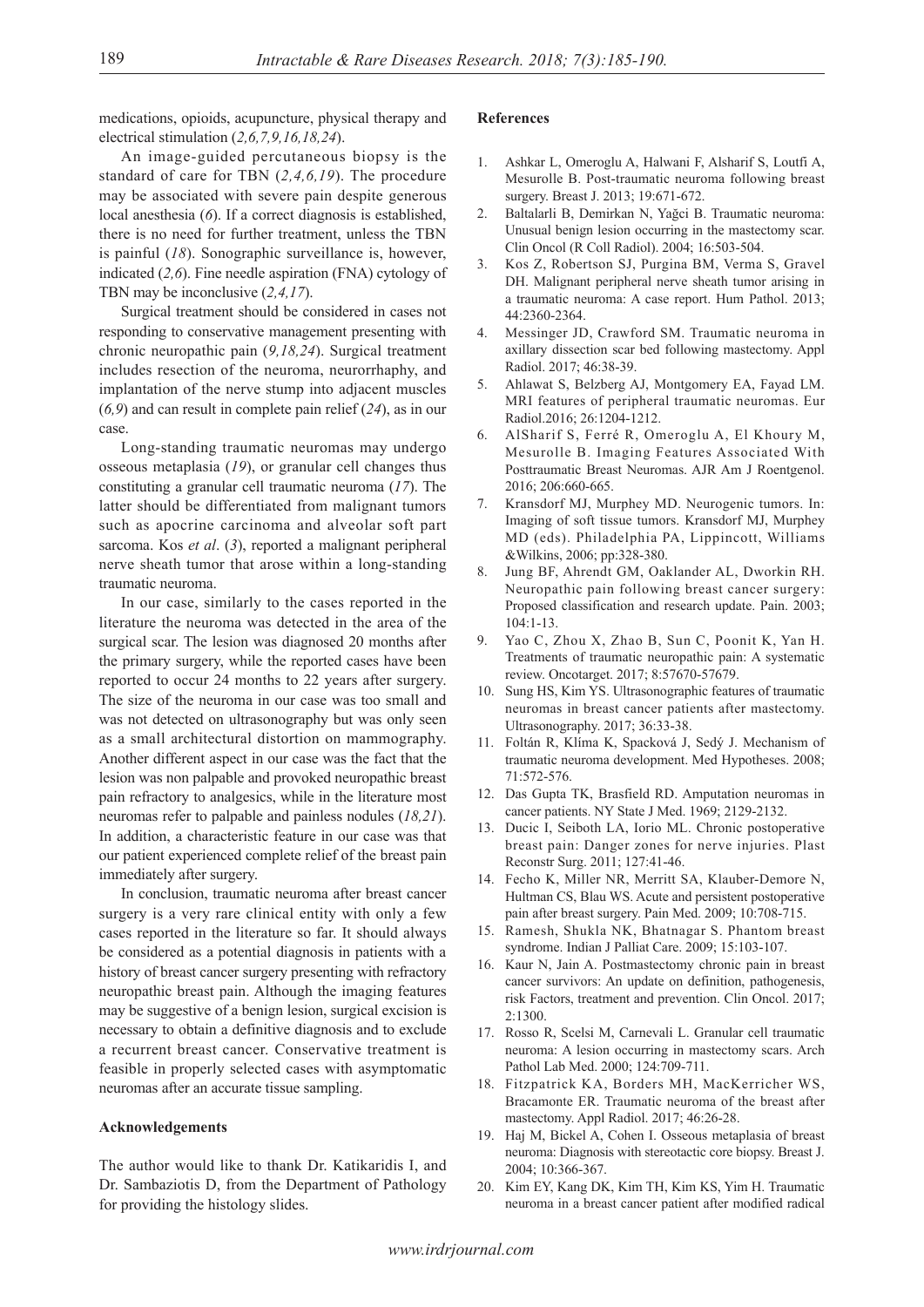medications, opioids, acupuncture, physical therapy and electrical stimulation (*2,6,7,9,16,18,24*).

An image-guided percutaneous biopsy is the standard of care for TBN (*2,4,6,19*). The procedure may be associated with severe pain despite generous local anesthesia (*6*). If a correct diagnosis is established, there is no need for further treatment, unless the TBN is painful (*18*). Sonographic surveillance is, however, indicated (*2,6*). Fine needle aspiration (FNA) cytology of TBN may be inconclusive (*2,4,17*).

Surgical treatment should be considered in cases not responding to conservative management presenting with chronic neuropathic pain (*9,18,24*). Surgical treatment includes resection of the neuroma, neurorrhaphy, and implantation of the nerve stump into adjacent muscles (*6,9*) and can result in complete pain relief (*24*), as in our case.

Long-standing traumatic neuromas may undergo osseous metaplasia (*19*), or granular cell changes thus constituting a granular cell traumatic neuroma (*17*). The latter should be differentiated from malignant tumors such as apocrine carcinoma and alveolar soft part sarcoma. Kos *et al*. (*3*), reported a malignant peripheral nerve sheath tumor that arose within a long-standing traumatic neuroma.

In our case, similarly to the cases reported in the literature the neuroma was detected in the area of the surgical scar. The lesion was diagnosed 20 months after the primary surgery, while the reported cases have been reported to occur 24 months to 22 years after surgery. The size of the neuroma in our case was too small and was not detected on ultrasonography but was only seen as a small architectural distortion on mammography. Another different aspect in our case was the fact that the lesion was non palpable and provoked neuropathic breast pain refractory to analgesics, while in the literature most neuromas refer to palpable and painless nodules (*18,21*). In addition, a characteristic feature in our case was that our patient experienced complete relief of the breast pain immediately after surgery.

In conclusion, traumatic neuroma after breast cancer surgery is a very rare clinical entity with only a few cases reported in the literature so far. It should always be considered as a potential diagnosis in patients with a history of breast cancer surgery presenting with refractory neuropathic breast pain. Although the imaging features may be suggestive of a benign lesion, surgical excision is necessary to obtain a definitive diagnosis and to exclude a recurrent breast cancer. Conservative treatment is feasible in properly selected cases with asymptomatic neuromas after an accurate tissue sampling.

#### **Acknowledgements**

The author would like to thank Dr. Katikaridis I, and Dr. Sambaziotis D, from the Department of Pathology for providing the histology slides.

#### **References**

- 1. Ashkar L, Omeroglu A, Halwani F, Alsharif S, Loutfi A, Mesurolle B. Post-traumatic neuroma following breast surgery. Breast J. 2013; 19:671-672.
- Baltalarli B, Demirkan N, Yağci B. Traumatic neuroma: Unusual benign lesion occurring in the mastectomy scar. Clin Oncol (R Coll Radiol). 2004; 16:503-504.
- 3. Kos Z, Robertson SJ, Purgina BM, Verma S, Gravel DH. Malignant peripheral nerve sheath tumor arising in a traumatic neuroma: A case report. Hum Pathol. 2013; 44:2360-2364.
- 4. Messinger JD, Crawford SM. Traumatic neuroma in axillary dissection scar bed following mastectomy. Appl Radiol. 2017; 46:38-39.
- 5. Ahlawat S, Belzberg AJ, Montgomery EA, Fayad LM. MRI features of peripheral traumatic neuromas. Eur Radiol.2016; 26:1204-1212.
- 6. AlSharif S, Ferré R, Omeroglu A, El Khoury M, Mesurolle B. Imaging Features Associated With Posttraumatic Breast Neuromas. AJR Am J Roentgenol. 2016; 206:660-665.
- 7. Kransdorf MJ, Murphey MD. Neurogenic tumors. In: Imaging of soft tissue tumors. Kransdorf MJ, Murphey MD (eds). Philadelphia PA, Lippincott, Williams &Wilkins, 2006; pp:328-380.
- 8. Jung BF, Ahrendt GM, Oaklander AL, Dworkin RH. Neuropathic pain following breast cancer surgery: Proposed classification and research update. Pain. 2003; 104:1-13.
- 9. Yao C, Zhou X, Zhao B, Sun C, Poonit K, Yan H. Treatments of traumatic neuropathic pain: A systematic review. Oncotarget. 2017; 8:57670-57679.
- 10. Sung HS, Kim YS. Ultrasonographic features of traumatic neuromas in breast cancer patients after mastectomy. Ultrasonography. 2017; 36:33-38.
- 11. Foltán R, Klíma K, Spacková J, Sedý J. Mechanism of traumatic neuroma development. Med Hypotheses. 2008; 71:572-576.
- 12. Das Gupta TK, Brasfield RD. Amputation neuromas in cancer patients. NY State J Med. 1969; 2129-2132.
- 13. Ducic I, Seiboth LA, Iorio ML. Chronic postoperative breast pain: Danger zones for nerve injuries. Plast Reconstr Surg. 2011; 127:41-46.
- 14. Fecho K, Miller NR, Merritt SA, Klauber-Demore N, Hultman CS, Blau WS. Acute and persistent postoperative pain after breast surgery. Pain Med. 2009; 10:708-715.
- 15. Ramesh, Shukla NK, Bhatnagar S. Phantom breast syndrome. Indian J Palliat Care. 2009; 15:103-107.
- 16. Kaur N, Jain A. Postmastectomy chronic pain in breast cancer survivors: An update on definition, pathogenesis, risk Factors, treatment and prevention. Clin Oncol. 2017;  $2:1300$
- 17. Rosso R, Scelsi M, Carnevali L. Granular cell traumatic neuroma: A lesion occurring in mastectomy scars. Arch Pathol Lab Med. 2000; 124:709-711.
- 18. Fitzpatrick KA, Borders MH, MacKerricher WS, Bracamonte ER. Traumatic neuroma of the breast after mastectomy. Appl Radiol. 2017; 46:26-28.
- 19. Haj M, Bickel A, Cohen I. Osseous metaplasia of breast neuroma: Diagnosis with stereotactic core biopsy. Breast J. 2004; 10:366-367.
- 20. Kim EY, Kang DK, Kim TH, Kim KS, Yim H. Traumatic neuroma in a breast cancer patient after modified radical